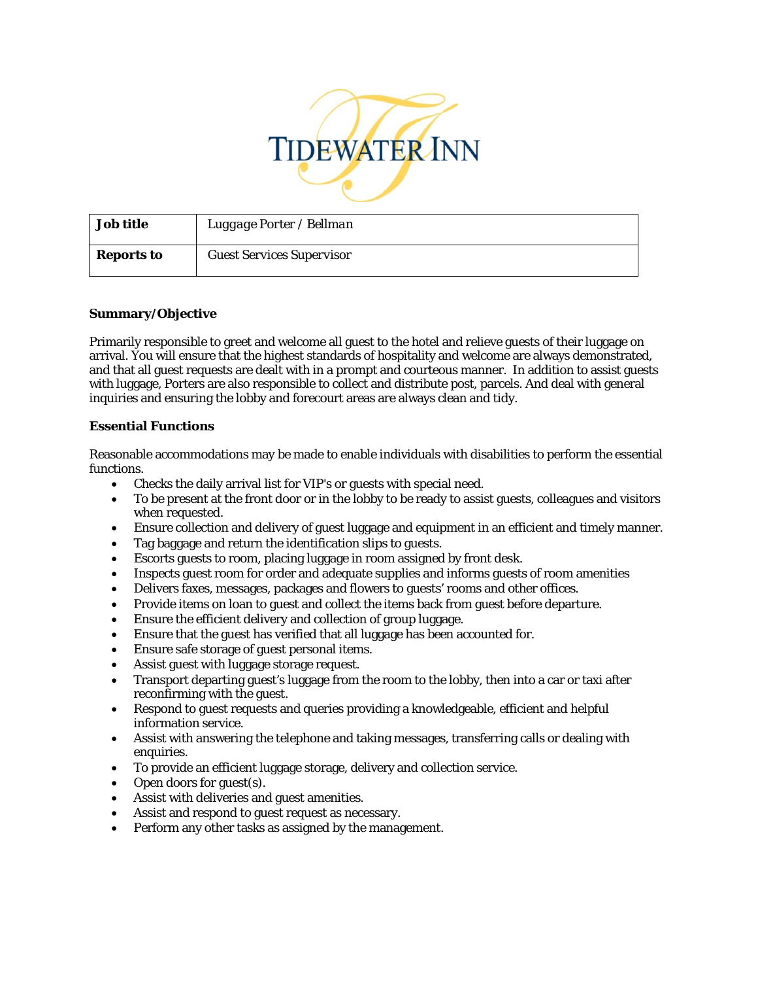

| <b>Job title</b>  | Luggage Porter / Bellman         |
|-------------------|----------------------------------|
| <b>Reports to</b> | <b>Guest Services Supervisor</b> |

## **Summary/Objective**

Primarily responsible to greet and welcome all guest to the hotel and relieve guests of their luggage on arrival. You will ensure that the highest standards of hospitality and welcome are always demonstrated, and that all guest requests are dealt with in a prompt and courteous manner. In addition to assist guests with luggage, Porters are also responsible to collect and distribute post, parcels. And deal with general inquiries and ensuring the lobby and forecourt areas are always clean and tidy.

## **Essential Functions**

Reasonable accommodations may be made to enable individuals with disabilities to perform the essential functions.

- Checks the daily arrival list for VIP's or guests with special need.
- To be present at the front door or in the lobby to be ready to assist guests, colleagues and visitors when requested.
- Ensure collection and delivery of guest luggage and equipment in an efficient and timely manner.
- Tag baggage and return the identification slips to guests.
- Escorts guests to room, placing luggage in room assigned by front desk.
- Inspects guest room for order and adequate supplies and informs guests of room amenities
- Delivers faxes, messages, packages and flowers to guests' rooms and other offices.
- Provide items on loan to guest and collect the items back from guest before departure.
- Ensure the efficient delivery and collection of group luggage.
- Ensure that the guest has verified that all luggage has been accounted for.
- Ensure safe storage of guest personal items.
- Assist guest with luggage storage request.
- Transport departing guest's luggage from the room to the lobby, then into a car or taxi after reconfirming with the guest.
- Respond to guest requests and queries providing a knowledgeable, efficient and helpful information service.
- Assist with answering the telephone and taking messages, transferring calls or dealing with enquiries.
- To provide an efficient luggage storage, delivery and collection service.
- Open doors for guest(s).
- Assist with deliveries and guest amenities.
- Assist and respond to guest request as necessary.
- Perform any other tasks as assigned by the management.